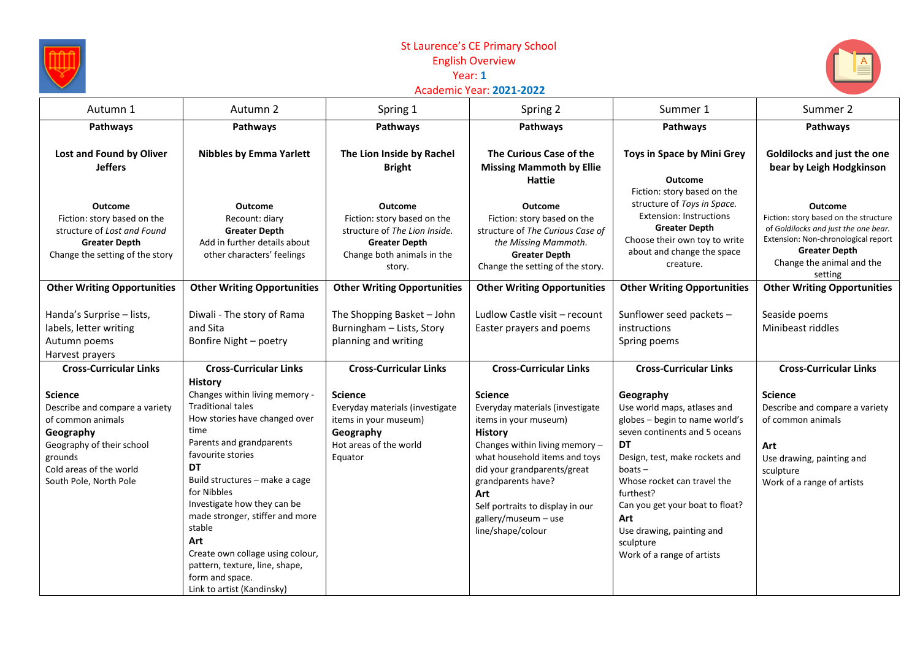

## St Laurence's CE Primary School English Overview<br>Year: 1 **Year: 1**





| Autumn 1                                                                                                                                                                        | Autumn 2                                                                                                                                                                                                                                                                                                                                                                                                                                       | Spring 1                                                                                                                                       | Spring 2                                                                                                                                                                                                                                                                                                     | Summer 1                                                                                                                                                                                                                                                                                                                              | Summer 2                                                                                                                                                                                               |
|---------------------------------------------------------------------------------------------------------------------------------------------------------------------------------|------------------------------------------------------------------------------------------------------------------------------------------------------------------------------------------------------------------------------------------------------------------------------------------------------------------------------------------------------------------------------------------------------------------------------------------------|------------------------------------------------------------------------------------------------------------------------------------------------|--------------------------------------------------------------------------------------------------------------------------------------------------------------------------------------------------------------------------------------------------------------------------------------------------------------|---------------------------------------------------------------------------------------------------------------------------------------------------------------------------------------------------------------------------------------------------------------------------------------------------------------------------------------|--------------------------------------------------------------------------------------------------------------------------------------------------------------------------------------------------------|
| Pathways                                                                                                                                                                        | Pathways                                                                                                                                                                                                                                                                                                                                                                                                                                       | Pathways                                                                                                                                       | Pathways                                                                                                                                                                                                                                                                                                     | Pathways                                                                                                                                                                                                                                                                                                                              | Pathways                                                                                                                                                                                               |
| Lost and Found by Oliver<br><b>Jeffers</b>                                                                                                                                      | <b>Nibbles by Emma Yarlett</b>                                                                                                                                                                                                                                                                                                                                                                                                                 | The Lion Inside by Rachel<br><b>Bright</b>                                                                                                     | The Curious Case of the<br><b>Missing Mammoth by Ellie</b><br><b>Hattie</b>                                                                                                                                                                                                                                  | Toys in Space by Mini Grey<br><b>Outcome</b><br>Fiction: story based on the                                                                                                                                                                                                                                                           | Goldilocks and just the one<br>bear by Leigh Hodgkinson                                                                                                                                                |
| <b>Outcome</b><br>Fiction: story based on the<br>structure of Lost and Found<br><b>Greater Depth</b><br>Change the setting of the story                                         | <b>Outcome</b><br>Recount: diary<br><b>Greater Depth</b><br>Add in further details about<br>other characters' feelings                                                                                                                                                                                                                                                                                                                         | <b>Outcome</b><br>Fiction: story based on the<br>structure of The Lion Inside.<br><b>Greater Depth</b><br>Change both animals in the<br>story. | <b>Outcome</b><br>Fiction: story based on the<br>structure of The Curious Case of<br>the Missing Mammoth.<br><b>Greater Depth</b><br>Change the setting of the story.                                                                                                                                        | structure of Toys in Space.<br><b>Extension: Instructions</b><br><b>Greater Depth</b><br>Choose their own toy to write<br>about and change the space<br>creature.                                                                                                                                                                     | <b>Outcome</b><br>Fiction: story based on the structure<br>of Goldilocks and just the one bear.<br>Extension: Non-chronological report<br><b>Greater Depth</b><br>Change the animal and the<br>setting |
| <b>Other Writing Opportunities</b>                                                                                                                                              | <b>Other Writing Opportunities</b>                                                                                                                                                                                                                                                                                                                                                                                                             | <b>Other Writing Opportunities</b>                                                                                                             | <b>Other Writing Opportunities</b>                                                                                                                                                                                                                                                                           | <b>Other Writing Opportunities</b>                                                                                                                                                                                                                                                                                                    | <b>Other Writing Opportunities</b>                                                                                                                                                                     |
| Handa's Surprise - lists,<br>labels, letter writing<br>Autumn poems<br>Harvest prayers                                                                                          | Diwali - The story of Rama<br>and Sita<br>Bonfire Night - poetry                                                                                                                                                                                                                                                                                                                                                                               | The Shopping Basket - John<br>Burningham - Lists, Story<br>planning and writing                                                                | Ludlow Castle visit - recount<br>Easter prayers and poems                                                                                                                                                                                                                                                    | Sunflower seed packets -<br>instructions<br>Spring poems                                                                                                                                                                                                                                                                              | Seaside poems<br>Minibeast riddles                                                                                                                                                                     |
| <b>Cross-Curricular Links</b>                                                                                                                                                   | <b>Cross-Curricular Links</b>                                                                                                                                                                                                                                                                                                                                                                                                                  | <b>Cross-Curricular Links</b>                                                                                                                  | <b>Cross-Curricular Links</b>                                                                                                                                                                                                                                                                                | <b>Cross-Curricular Links</b>                                                                                                                                                                                                                                                                                                         | <b>Cross-Curricular Links</b>                                                                                                                                                                          |
| <b>Science</b><br>Describe and compare a variety<br>of common animals<br>Geography<br>Geography of their school<br>grounds<br>Cold areas of the world<br>South Pole, North Pole | <b>History</b><br>Changes within living memory -<br><b>Traditional tales</b><br>How stories have changed over<br>time<br>Parents and grandparents<br>favourite stories<br><b>DT</b><br>Build structures - make a cage<br>for Nibbles<br>Investigate how they can be<br>made stronger, stiffer and more<br>stable<br>Art<br>Create own collage using colour,<br>pattern, texture, line, shape,<br>form and space.<br>Link to artist (Kandinsky) | <b>Science</b><br>Everyday materials (investigate<br>items in your museum)<br>Geography<br>Hot areas of the world<br>Equator                   | <b>Science</b><br>Everyday materials (investigate<br>items in your museum)<br><b>History</b><br>Changes within living memory -<br>what household items and toys<br>did your grandparents/great<br>grandparents have?<br>Art<br>Self portraits to display in our<br>gallery/museum - use<br>line/shape/colour | Geography<br>Use world maps, atlases and<br>globes - begin to name world's<br>seven continents and 5 oceans<br><b>DT</b><br>Design, test, make rockets and<br>$boats -$<br>Whose rocket can travel the<br>furthest?<br>Can you get your boat to float?<br>Art<br>Use drawing, painting and<br>sculpture<br>Work of a range of artists | <b>Science</b><br>Describe and compare a variety<br>of common animals<br>Art<br>Use drawing, painting and<br>sculpture<br>Work of a range of artists                                                   |